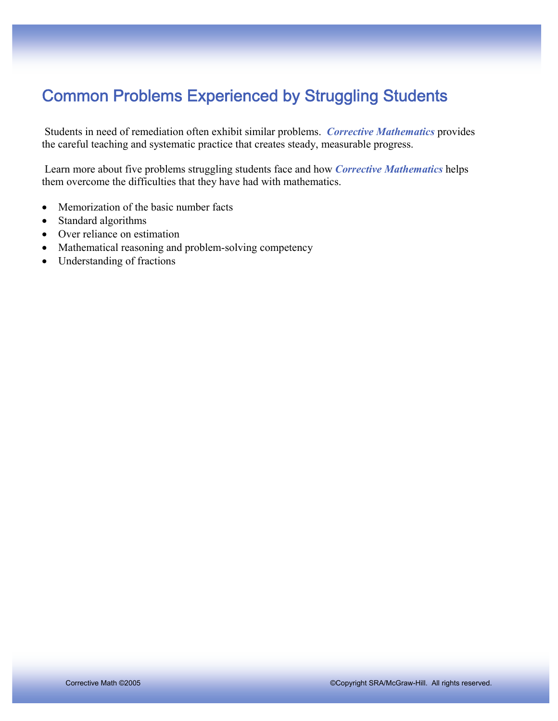# Common Problems Experienced by Struggling Students

 Students in need of remediation often exhibit similar problems. *Corrective Mathematics* provides the careful teaching and systematic practice that creates steady, measurable progress.

 Learn more about five problems struggling students face and how *Corrective Mathematics* helps them overcome the difficulties that they have had with mathematics.

- Memorization of the basic number facts
- Standard algorithms
- Over reliance on estimation
- Mathematical reasoning and problem-solving competency
- Understanding of fractions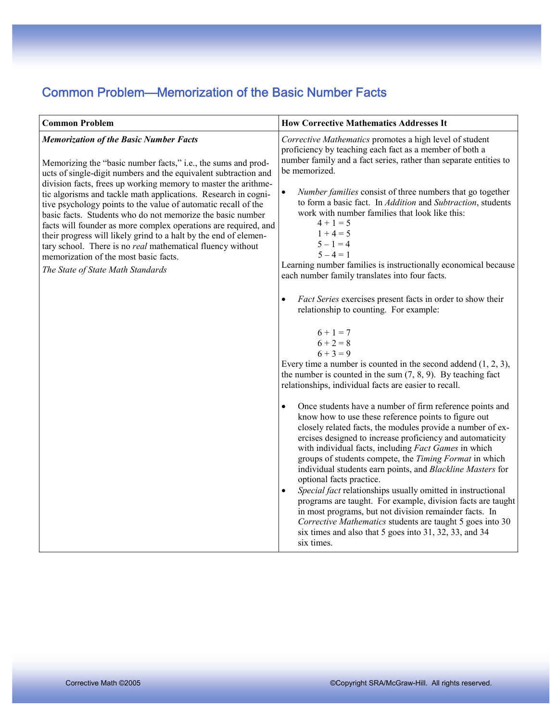#### Common Problem—Memorization of the Basic Number Facts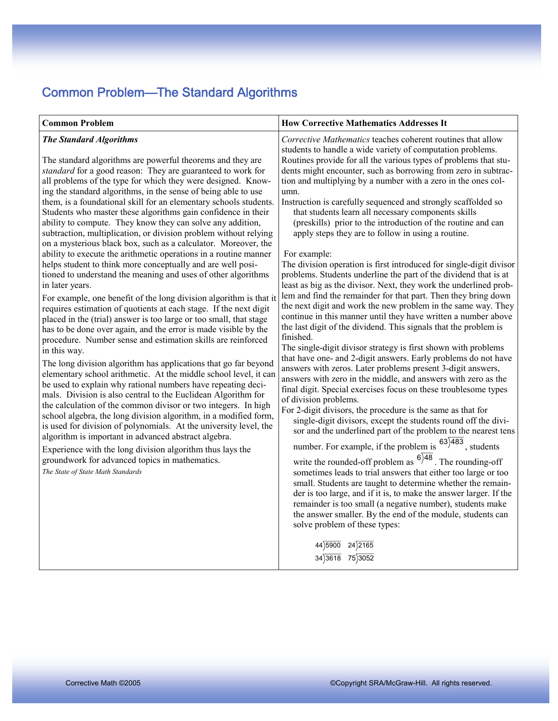## Common Problem—The Standard Algorithms

| Corrective Mathematics teaches coherent routines that allow<br><b>The Standard Algorithms</b><br>students to handle a wide variety of computation problems.<br>Routines provide for all the various types of problems that stu-<br>The standard algorithms are powerful theorems and they are<br>standard for a good reason: They are guaranteed to work for<br>dents might encounter, such as borrowing from zero in subtrac-<br>all problems of the type for which they were designed. Know-<br>tion and multiplying by a number with a zero in the ones col-<br>ing the standard algorithms, in the sense of being able to use<br>umn.<br>them, is a foundational skill for an elementary schools students.<br>Instruction is carefully sequenced and strongly scaffolded so<br>Students who master these algorithms gain confidence in their<br>that students learn all necessary components skills<br>ability to compute. They know they can solve any addition,<br>(preskills) prior to the introduction of the routine and can<br>subtraction, multiplication, or division problem without relying<br>apply steps they are to follow in using a routine.<br>on a mysterious black box, such as a calculator. Moreover, the<br>ability to execute the arithmetic operations in a routine manner<br>For example:<br>helps student to think more conceptually and are well posi-<br>tioned to understand the meaning and uses of other algorithms<br>problems. Students underline the part of the dividend that is at<br>in later years.<br>least as big as the divisor. Next, they work the underlined prob-<br>lem and find the remainder for that part. Then they bring down<br>For example, one benefit of the long division algorithm is that it<br>the next digit and work the new problem in the same way. They<br>requires estimation of quotients at each stage. If the next digit<br>continue in this manner until they have written a number above<br>placed in the (trial) answer is too large or too small, that stage<br>the last digit of the dividend. This signals that the problem is<br>has to be done over again, and the error is made visible by the<br>finished.<br>procedure. Number sense and estimation skills are reinforced<br>The single-digit divisor strategy is first shown with problems<br>in this way.<br>that have one- and 2-digit answers. Early problems do not have<br>The long division algorithm has applications that go far beyond<br>answers with zeros. Later problems present 3-digit answers,<br>elementary school arithmetic. At the middle school level, it can<br>answers with zero in the middle, and answers with zero as the<br>be used to explain why rational numbers have repeating deci-<br>final digit. Special exercises focus on these troublesome types<br>mals. Division is also central to the Euclidean Algorithm for<br>of division problems.<br>the calculation of the common divisor or two integers. In high<br>For 2-digit divisors, the procedure is the same as that for<br>school algebra, the long division algorithm, in a modified form,<br>single-digit divisors, except the students round off the divi-<br>is used for division of polynomials. At the university level, the<br>algorithm is important in advanced abstract algebra.<br>number. For example, if the problem is $63\overline{)483}$ , students<br>Experience with the long division algorithm thus lays the<br>write the rounded-off problem as $6)^{48}$ . The rounding-off<br>groundwork for advanced topics in mathematics.<br>The State of State Math Standards<br>sometimes leads to trial answers that either too large or too<br>small. Students are taught to determine whether the remain-<br>der is too large, and if it is, to make the answer larger. If the<br>remainder is too small (a negative number), students make<br>the answer smaller. By the end of the module, students can | <b>Common Problem</b> | <b>How Corrective Mathematics Addresses It</b>                                                                                                                         |
|-------------------------------------------------------------------------------------------------------------------------------------------------------------------------------------------------------------------------------------------------------------------------------------------------------------------------------------------------------------------------------------------------------------------------------------------------------------------------------------------------------------------------------------------------------------------------------------------------------------------------------------------------------------------------------------------------------------------------------------------------------------------------------------------------------------------------------------------------------------------------------------------------------------------------------------------------------------------------------------------------------------------------------------------------------------------------------------------------------------------------------------------------------------------------------------------------------------------------------------------------------------------------------------------------------------------------------------------------------------------------------------------------------------------------------------------------------------------------------------------------------------------------------------------------------------------------------------------------------------------------------------------------------------------------------------------------------------------------------------------------------------------------------------------------------------------------------------------------------------------------------------------------------------------------------------------------------------------------------------------------------------------------------------------------------------------------------------------------------------------------------------------------------------------------------------------------------------------------------------------------------------------------------------------------------------------------------------------------------------------------------------------------------------------------------------------------------------------------------------------------------------------------------------------------------------------------------------------------------------------------------------------------------------------------------------------------------------------------------------------------------------------------------------------------------------------------------------------------------------------------------------------------------------------------------------------------------------------------------------------------------------------------------------------------------------------------------------------------------------------------------------------------------------------------------------------------------------------------------------------------------------------------------------------------------------------------------------------------------------------------------------------------------------------------------------------------------------------------------------------------------------------------------------------------------------------------------------------------------------------------------------------------------------------------------------------------------------------------------------------------------------------------------------------------------------------------------------------------------------------------------------------------------------------------------------------------------|-----------------------|------------------------------------------------------------------------------------------------------------------------------------------------------------------------|
| $44\overline{)5900}$ 24)2165<br>$34)3618$ 75) $3052$                                                                                                                                                                                                                                                                                                                                                                                                                                                                                                                                                                                                                                                                                                                                                                                                                                                                                                                                                                                                                                                                                                                                                                                                                                                                                                                                                                                                                                                                                                                                                                                                                                                                                                                                                                                                                                                                                                                                                                                                                                                                                                                                                                                                                                                                                                                                                                                                                                                                                                                                                                                                                                                                                                                                                                                                                                                                                                                                                                                                                                                                                                                                                                                                                                                                                                                                                                                                                                                                                                                                                                                                                                                                                                                                                                                                                                                                                                  |                       | The division operation is first introduced for single-digit divisor<br>sor and the underlined part of the problem to the nearest tens<br>solve problem of these types: |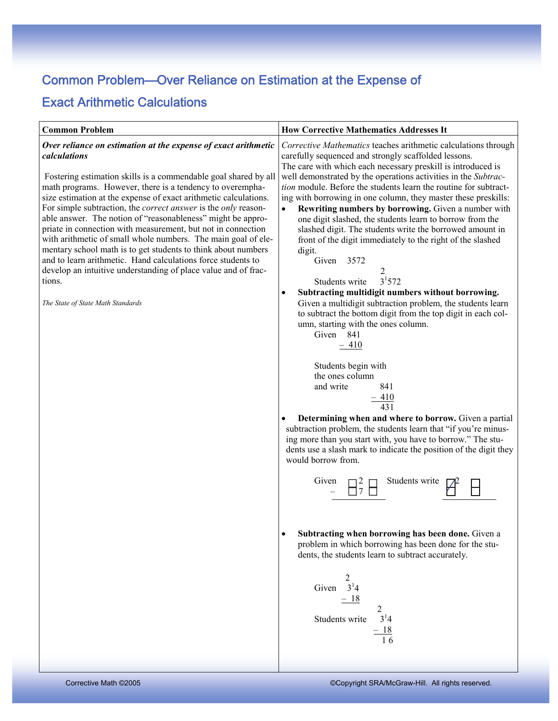# Common Problem—Over Reliance on Estimation at the Expense of

#### Exact Arithmetic Calculations

| <b>Common Problem</b>                                                                                                                                                                                                                                                                                                                                                                                                                                                                                                                                                                                                                                                                                                                                                                                                | <b>How Corrective Mathematics Addresses It</b>                                                                                                                                                                                                                                                                                                                                                                                                                                                                                                                                                                                                                                                                                                                                                                                                                                                                                                                                                                                                                                                                                                                                                                                                                                                                                                                                                                                                                                                                                                                                                                                                                          |
|----------------------------------------------------------------------------------------------------------------------------------------------------------------------------------------------------------------------------------------------------------------------------------------------------------------------------------------------------------------------------------------------------------------------------------------------------------------------------------------------------------------------------------------------------------------------------------------------------------------------------------------------------------------------------------------------------------------------------------------------------------------------------------------------------------------------|-------------------------------------------------------------------------------------------------------------------------------------------------------------------------------------------------------------------------------------------------------------------------------------------------------------------------------------------------------------------------------------------------------------------------------------------------------------------------------------------------------------------------------------------------------------------------------------------------------------------------------------------------------------------------------------------------------------------------------------------------------------------------------------------------------------------------------------------------------------------------------------------------------------------------------------------------------------------------------------------------------------------------------------------------------------------------------------------------------------------------------------------------------------------------------------------------------------------------------------------------------------------------------------------------------------------------------------------------------------------------------------------------------------------------------------------------------------------------------------------------------------------------------------------------------------------------------------------------------------------------------------------------------------------------|
| Over reliance on estimation at the expense of exact arithmetic<br>calculations<br>Fostering estimation skills is a commendable goal shared by all<br>math programs. However, there is a tendency to overempha-<br>size estimation at the expense of exact arithmetic calculations.<br>For simple subtraction, the <i>correct answer</i> is the <i>only</i> reason-<br>able answer. The notion of "reasonableness" might be appro-<br>priate in connection with measurement, but not in connection<br>with arithmetic of small whole numbers. The main goal of ele-<br>mentary school math is to get students to think about numbers<br>and to learn arithmetic. Hand calculations force students to<br>develop an intuitive understanding of place value and of frac-<br>tions.<br>The State of State Math Standards | Corrective Mathematics teaches arithmetic calculations through<br>carefully sequenced and strongly scaffolded lessons.<br>The care with which each necessary preskill is introduced is<br>well demonstrated by the operations activities in the Subtrac-<br>tion module. Before the students learn the routine for subtract-<br>ing with borrowing in one column, they master these preskills:<br>Rewriting numbers by borrowing. Given a number with<br>one digit slashed, the students learn to borrow from the<br>slashed digit. The students write the borrowed amount in<br>front of the digit immediately to the right of the slashed<br>digit.<br>Given 3572<br>2<br>$3^{1}572$<br>Students write<br>Subtracting multidigit numbers without borrowing.<br>$\bullet$<br>Given a multidigit subtraction problem, the students learn<br>to subtract the bottom digit from the top digit in each col-<br>umn, starting with the ones column.<br>Given 841<br>$-410$<br>Students begin with<br>the ones column<br>841<br>and write<br>$\frac{-410}{431}$<br>Determining when and where to borrow. Given a partial<br>subtraction problem, the students learn that "if you're minus-<br>ing more than you start with, you have to borrow." The stu-<br>dents use a slash mark to indicate the position of the digit they<br>would borrow from.<br>Given<br>Students write<br>$\overline{\Pi}^2_7$<br>Subtracting when borrowing has been done. Given a<br>$\bullet$<br>problem in which borrowing has been done for the stu-<br>dents, the students learn to subtract accurately.<br>2<br>Given $3^14$<br>$-18$<br>2<br>$3^{1}4$<br>Students write<br>$\frac{-18}{16}$ |
|                                                                                                                                                                                                                                                                                                                                                                                                                                                                                                                                                                                                                                                                                                                                                                                                                      |                                                                                                                                                                                                                                                                                                                                                                                                                                                                                                                                                                                                                                                                                                                                                                                                                                                                                                                                                                                                                                                                                                                                                                                                                                                                                                                                                                                                                                                                                                                                                                                                                                                                         |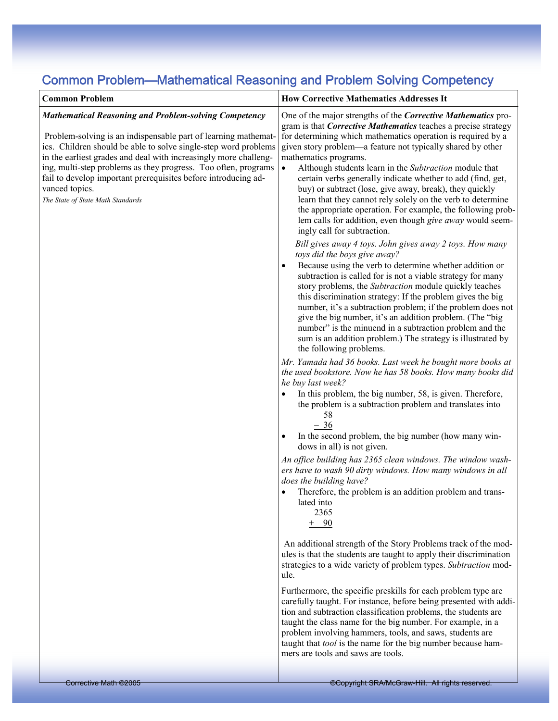### Common Problem—Mathematical Reasoning and Problem Solving Competency

| <b>Common Problem</b><br><b>Mathematical Reasoning and Problem-solving Competency</b><br>Problem-solving is an indispensable part of learning mathemat-<br>ics. Children should be able to solve single-step word problems<br>in the earliest grades and deal with increasingly more challeng-<br>ing, multi-step problems as they progress. Too often, programs<br>fail to develop important prerequisites before introducing ad-<br>vanced topics.<br>The State of State Math Standards | <b>How Corrective Mathematics Addresses It</b><br>One of the major strengths of the Corrective Mathematics pro-<br>gram is that <i>Corrective Mathematics</i> teaches a precise strategy<br>for determining which mathematics operation is required by a<br>given story problem—a feature not typically shared by other<br>mathematics programs.<br>Although students learn in the Subtraction module that<br>$\bullet$<br>certain verbs generally indicate whether to add (find, get,<br>buy) or subtract (lose, give away, break), they quickly<br>learn that they cannot rely solely on the verb to determine<br>the appropriate operation. For example, the following prob-<br>lem calls for addition, even though give away would seem-<br>ingly call for subtraction.<br>Bill gives away 4 toys. John gives away 2 toys. How many<br>toys did the boys give away?<br>Because using the verb to determine whether addition or<br>subtraction is called for is not a viable strategy for many<br>story problems, the Subtraction module quickly teaches<br>this discrimination strategy: If the problem gives the big<br>number, it's a subtraction problem; if the problem does not<br>give the big number, it's an addition problem. (The "big<br>number" is the minuend in a subtraction problem and the<br>sum is an addition problem.) The strategy is illustrated by<br>the following problems.<br>Mr. Yamada had 36 books. Last week he bought more books at<br>the used bookstore. Now he has 58 books. How many books did<br>he buy last week?<br>In this problem, the big number, 58, is given. Therefore,<br>the problem is a subtraction problem and translates into<br>58<br>$-36$<br>In the second problem, the big number (how many win-<br>dows in all) is not given.<br>An office building has 2365 clean windows. The window wash-<br>ers have to wash 90 dirty windows. How many windows in all<br>does the building have?<br>Therefore, the problem is an addition problem and trans-<br>lated into<br>2365<br>$+ 90$<br>An additional strength of the Story Problems track of the mod-<br>ules is that the students are taught to apply their discrimination<br>strategies to a wide variety of problem types. Subtraction mod-<br>ule.<br>Furthermore, the specific preskills for each problem type are<br>carefully taught. For instance, before being presented with addi-<br>tion and subtraction classification problems, the students are<br>taught the class name for the big number. For example, in a<br>problem involving hammers, tools, and saws, students are<br>taught that <i>tool</i> is the name for the big number because ham-<br>mers are tools and saws are tools. |
|-------------------------------------------------------------------------------------------------------------------------------------------------------------------------------------------------------------------------------------------------------------------------------------------------------------------------------------------------------------------------------------------------------------------------------------------------------------------------------------------|------------------------------------------------------------------------------------------------------------------------------------------------------------------------------------------------------------------------------------------------------------------------------------------------------------------------------------------------------------------------------------------------------------------------------------------------------------------------------------------------------------------------------------------------------------------------------------------------------------------------------------------------------------------------------------------------------------------------------------------------------------------------------------------------------------------------------------------------------------------------------------------------------------------------------------------------------------------------------------------------------------------------------------------------------------------------------------------------------------------------------------------------------------------------------------------------------------------------------------------------------------------------------------------------------------------------------------------------------------------------------------------------------------------------------------------------------------------------------------------------------------------------------------------------------------------------------------------------------------------------------------------------------------------------------------------------------------------------------------------------------------------------------------------------------------------------------------------------------------------------------------------------------------------------------------------------------------------------------------------------------------------------------------------------------------------------------------------------------------------------------------------------------------------------------------------------------------------------------------------------------------------------------------------------------------------------------------------------------------------------------------------------------------------------------------------------------------------------------------------------------------------------------------------------------------------------------------------------------------------------------------------------------------------------------------------------------------------|
|                                                                                                                                                                                                                                                                                                                                                                                                                                                                                           |                                                                                                                                                                                                                                                                                                                                                                                                                                                                                                                                                                                                                                                                                                                                                                                                                                                                                                                                                                                                                                                                                                                                                                                                                                                                                                                                                                                                                                                                                                                                                                                                                                                                                                                                                                                                                                                                                                                                                                                                                                                                                                                                                                                                                                                                                                                                                                                                                                                                                                                                                                                                                                                                                                                  |
| Corrective Math ©2005                                                                                                                                                                                                                                                                                                                                                                                                                                                                     | Copyright SRA/McGraw-Hill. All rights reserved.                                                                                                                                                                                                                                                                                                                                                                                                                                                                                                                                                                                                                                                                                                                                                                                                                                                                                                                                                                                                                                                                                                                                                                                                                                                                                                                                                                                                                                                                                                                                                                                                                                                                                                                                                                                                                                                                                                                                                                                                                                                                                                                                                                                                                                                                                                                                                                                                                                                                                                                                                                                                                                                                  |